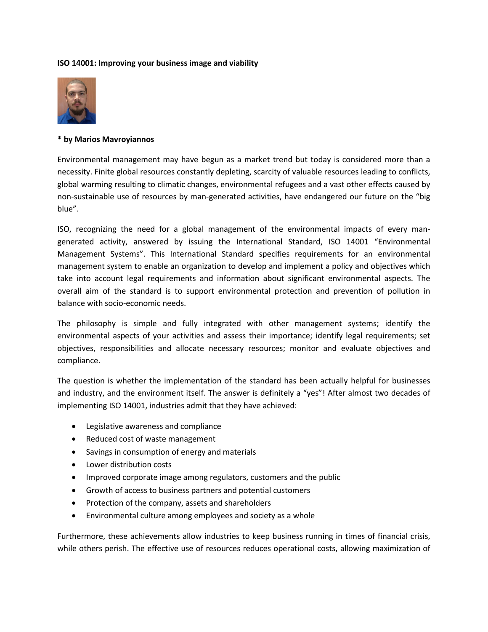## **ISO 14001: Improving your business image and viability**



## **\* by Marios Mavroyiannos**

Environmental management may have begun as a market trend but today is considered more than a necessity. Finite global resources constantly depleting, scarcity of valuable resources leading to conflicts, global warming resulting to climatic changes, environmental refugees and a vast other effects caused by non-sustainable use of resources by man-generated activities, have endangered our future on the "big blue".

ISO, recognizing the need for a global management of the environmental impacts of every mangenerated activity, answered by issuing the International Standard, ISO 14001 "Environmental Management Systems". This International Standard specifies requirements for an environmental management system to enable an organization to develop and implement a policy and objectives which take into account legal requirements and information about significant environmental aspects. The overall aim of the standard is to support environmental protection and prevention of pollution in balance with socio-economic needs.

The philosophy is simple and fully integrated with other management systems; identify the environmental aspects of your activities and assess their importance; identify legal requirements; set objectives, responsibilities and allocate necessary resources; monitor and evaluate objectives and compliance.

The question is whether the implementation of the standard has been actually helpful for businesses and industry, and the environment itself. The answer is definitely a "yes"! After almost two decades of implementing ISO 14001, industries admit that they have achieved:

- Legislative awareness and compliance
- Reduced cost of waste management
- Savings in consumption of energy and materials
- Lower distribution costs
- Improved corporate image among regulators, customers and the public
- Growth of access to business partners and potential customers
- Protection of the company, assets and shareholders
- Environmental culture among employees and society as a whole

Furthermore, these achievements allow industries to keep business running in times of financial crisis, while others perish. The effective use of resources reduces operational costs, allowing maximization of